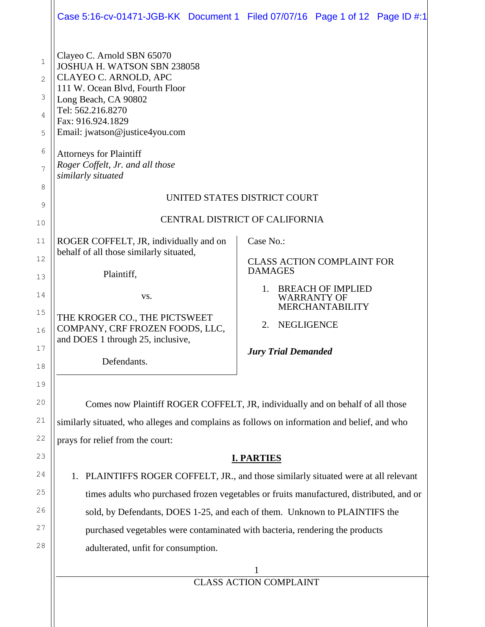|                                                   |                                                                                                                                                                                                                                                                                                                       | Case 5:16-cv-01471-JGB-KK Document 1 Filed 07/07/16 Page 1 of 12 Page ID #:1   |  |  |  |  |
|---------------------------------------------------|-----------------------------------------------------------------------------------------------------------------------------------------------------------------------------------------------------------------------------------------------------------------------------------------------------------------------|--------------------------------------------------------------------------------|--|--|--|--|
| 1<br>$\overline{2}$<br>3<br>4<br>5<br>6<br>7<br>8 | Clayeo C. Arnold SBN 65070<br>JOSHUA H. WATSON SBN 238058<br>CLAYEO C. ARNOLD, APC<br>111 W. Ocean Blvd, Fourth Floor<br>Long Beach, CA 90802<br>Tel: 562.216.8270<br>Fax: 916.924.1829<br>Email: jwatson@justice4you.com<br><b>Attorneys for Plaintiff</b><br>Roger Coffelt, Jr. and all those<br>similarly situated |                                                                                |  |  |  |  |
| 9                                                 | UNITED STATES DISTRICT COURT                                                                                                                                                                                                                                                                                          |                                                                                |  |  |  |  |
| 10                                                | CENTRAL DISTRICT OF CALIFORNIA                                                                                                                                                                                                                                                                                        |                                                                                |  |  |  |  |
| $11$                                              | ROGER COFFELT, JR, individually and on                                                                                                                                                                                                                                                                                | Case No.:                                                                      |  |  |  |  |
| 12                                                | behalf of all those similarly situated,                                                                                                                                                                                                                                                                               | <b>CLASS ACTION COMPLAINT FOR</b>                                              |  |  |  |  |
| 13                                                | Plaintiff,                                                                                                                                                                                                                                                                                                            | <b>DAMAGES</b>                                                                 |  |  |  |  |
| 14                                                | VS.                                                                                                                                                                                                                                                                                                                   | 1.<br><b>BREACH OF IMPLIED</b><br><b>WARRANTY OF</b><br><b>MERCHANTABILITY</b> |  |  |  |  |
| 15<br>16                                          | THE KROGER CO., THE PICTSWEET<br>COMPANY, CRF FROZEN FOODS, LLC,<br>and DOES 1 through 25, inclusive,                                                                                                                                                                                                                 | <b>NEGLIGENCE</b><br>2.                                                        |  |  |  |  |
| $17$<br>18                                        | Defendants.                                                                                                                                                                                                                                                                                                           | <b>Jury Trial Demanded</b>                                                     |  |  |  |  |
| 19                                                |                                                                                                                                                                                                                                                                                                                       |                                                                                |  |  |  |  |
| 20                                                | Comes now Plaintiff ROGER COFFELT, JR, individually and on behalf of all those                                                                                                                                                                                                                                        |                                                                                |  |  |  |  |
| 21                                                | similarly situated, who alleges and complains as follows on information and belief, and who                                                                                                                                                                                                                           |                                                                                |  |  |  |  |
| 22                                                | prays for relief from the court:                                                                                                                                                                                                                                                                                      |                                                                                |  |  |  |  |
| 23                                                | <b>I. PARTIES</b>                                                                                                                                                                                                                                                                                                     |                                                                                |  |  |  |  |
| 24                                                | PLAINTIFFS ROGER COFFELT, JR., and those similarly situated were at all relevant<br>1.                                                                                                                                                                                                                                |                                                                                |  |  |  |  |
| 25                                                | times adults who purchased frozen vegetables or fruits manufactured, distributed, and or                                                                                                                                                                                                                              |                                                                                |  |  |  |  |
| 26                                                | sold, by Defendants, DOES 1-25, and each of them. Unknown to PLAINTIFS the                                                                                                                                                                                                                                            |                                                                                |  |  |  |  |
| 27                                                | purchased vegetables were contaminated with bacteria, rendering the products                                                                                                                                                                                                                                          |                                                                                |  |  |  |  |
| 28                                                | adulterated, unfit for consumption.                                                                                                                                                                                                                                                                                   |                                                                                |  |  |  |  |
|                                                   |                                                                                                                                                                                                                                                                                                                       |                                                                                |  |  |  |  |
|                                                   | <b>CLASS ACTION COMPLAINT</b>                                                                                                                                                                                                                                                                                         |                                                                                |  |  |  |  |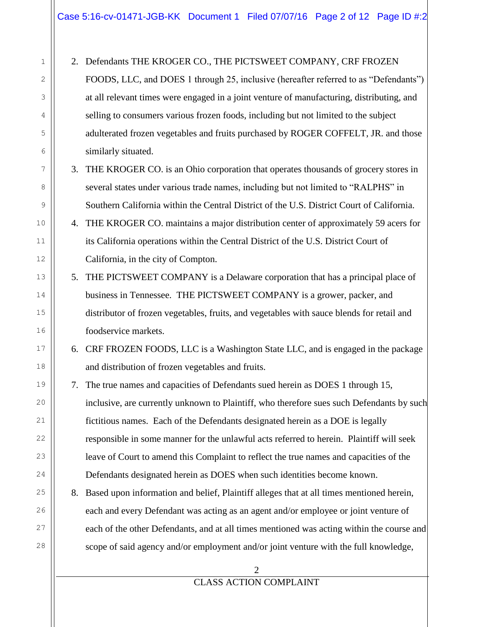1 2 3 4 5 6 7 8 9 10 11 12 13 14 15 16 17 18 19 20 21 22 23 24 25 26 27 28 2. Defendants THE KROGER CO., THE PICTSWEET COMPANY, CRF FROZEN FOODS, LLC, and DOES 1 through 25, inclusive (hereafter referred to as "Defendants") at all relevant times were engaged in a joint venture of manufacturing, distributing, and selling to consumers various frozen foods, including but not limited to the subject adulterated frozen vegetables and fruits purchased by ROGER COFFELT, JR. and those similarly situated. 3. THE KROGER CO. is an Ohio corporation that operates thousands of grocery stores in several states under various trade names, including but not limited to "RALPHS" in Southern California within the Central District of the U.S. District Court of California. 4. THE KROGER CO. maintains a major distribution center of approximately 59 acers for its California operations within the Central District of the U.S. District Court of California, in the city of Compton. 5. THE PICTSWEET COMPANY is a Delaware corporation that has a principal place of business in Tennessee. THE PICTSWEET COMPANY is a grower, packer, and distributor of frozen vegetables, fruits, and vegetables with sauce blends for retail and foodservice markets. 6. CRF FROZEN FOODS, LLC is a Washington State LLC, and is engaged in the package and distribution of frozen vegetables and fruits. 7. The true names and capacities of Defendants sued herein as DOES 1 through 15, inclusive, are currently unknown to Plaintiff, who therefore sues such Defendants by such fictitious names. Each of the Defendants designated herein as a DOE is legally responsible in some manner for the unlawful acts referred to herein. Plaintiff will seek leave of Court to amend this Complaint to reflect the true names and capacities of the Defendants designated herein as DOES when such identities become known. 8. Based upon information and belief, Plaintiff alleges that at all times mentioned herein, each and every Defendant was acting as an agent and/or employee or joint venture of each of the other Defendants, and at all times mentioned was acting within the course and scope of said agency and/or employment and/or joint venture with the full knowledge,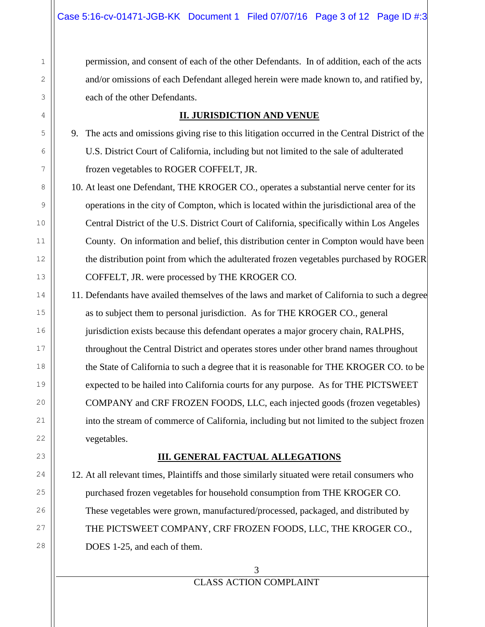permission, and consent of each of the other Defendants. In of addition, each of the acts and/or omissions of each Defendant alleged herein were made known to, and ratified by, each of the other Defendants.

### **II. JURISDICTION AND VENUE**

9. The acts and omissions giving rise to this litigation occurred in the Central District of the U.S. District Court of California, including but not limited to the sale of adulterated frozen vegetables to ROGER COFFELT, JR.

10. At least one Defendant, THE KROGER CO., operates a substantial nerve center for its operations in the city of Compton, which is located within the jurisdictional area of the Central District of the U.S. District Court of California, specifically within Los Angeles County. On information and belief, this distribution center in Compton would have been the distribution point from which the adulterated frozen vegetables purchased by ROGER COFFELT, JR. were processed by THE KROGER CO.

11. Defendants have availed themselves of the laws and market of California to such a degree as to subject them to personal jurisdiction. As for THE KROGER CO., general jurisdiction exists because this defendant operates a major grocery chain, RALPHS, throughout the Central District and operates stores under other brand names throughout the State of California to such a degree that it is reasonable for THE KROGER CO. to be expected to be hailed into California courts for any purpose. As for THE PICTSWEET COMPANY and CRF FROZEN FOODS, LLC, each injected goods (frozen vegetables) into the stream of commerce of California, including but not limited to the subject frozen vegetables.

## **III. GENERAL FACTUAL ALLEGATIONS**

12. At all relevant times, Plaintiffs and those similarly situated were retail consumers who purchased frozen vegetables for household consumption from THE KROGER CO. These vegetables were grown, manufactured/processed, packaged, and distributed by THE PICTSWEET COMPANY, CRF FROZEN FOODS, LLC, THE KROGER CO., DOES 1-25, and each of them.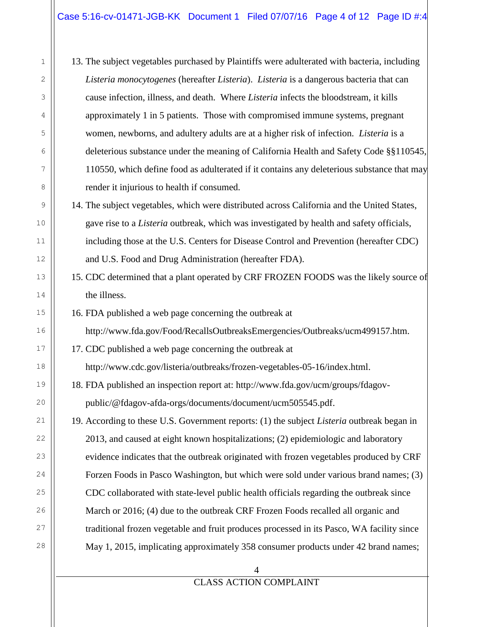### Case 5:16-cv-01471-JGB-KK Document 1 Filed 07/07/16 Page 4 of 12 Page ID #:4

13. The subject vegetables purchased by Plaintiffs were adulterated with bacteria, including *Listeria monocytogenes* (hereafter *Listeria*). *Listeria* is a dangerous bacteria that can cause infection, illness, and death. Where *Listeria* infects the bloodstream, it kills approximately 1 in 5 patients. Those with compromised immune systems, pregnant women, newborns, and adultery adults are at a higher risk of infection. *Listeria* is a deleterious substance under the meaning of California Health and Safety Code §§110545, 110550, which define food as adulterated if it contains any deleterious substance that may render it injurious to health if consumed.

- 14. The subject vegetables, which were distributed across California and the United States, gave rise to a *Listeria* outbreak, which was investigated by health and safety officials, including those at the U.S. Centers for Disease Control and Prevention (hereafter CDC) and U.S. Food and Drug Administration (hereafter FDA).
- 15. CDC determined that a plant operated by CRF FROZEN FOODS was the likely source of the illness.
- 16. FDA published a web page concerning the outbreak at http://www.fda.gov/Food/RecallsOutbreaksEmergencies/Outbreaks/ucm499157.htm.
- 17. CDC published a web page concerning the outbreak at
- http://www.cdc.gov/listeria/outbreaks/frozen-vegetables-05-16/index.html.
- 18. FDA published an inspection report at: http://www.fda.gov/ucm/groups/fdagovpublic/@fdagov-afda-orgs/documents/document/ucm505545.pdf.
- 19. According to these U.S. Government reports: (1) the subject *Listeria* outbreak began in 2013, and caused at eight known hospitalizations; (2) epidemiologic and laboratory evidence indicates that the outbreak originated with frozen vegetables produced by CRF Forzen Foods in Pasco Washington, but which were sold under various brand names; (3) CDC collaborated with state-level public health officials regarding the outbreak since March or 2016; (4) due to the outbreak CRF Frozen Foods recalled all organic and traditional frozen vegetable and fruit produces processed in its Pasco, WA facility since May 1, 2015, implicating approximately 358 consumer products under 42 brand names;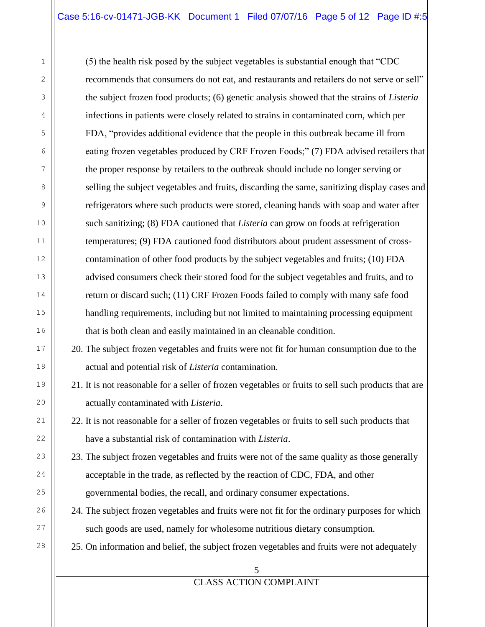## Case 5:16-cv-01471-JGB-KK Document 1 Filed 07/07/16 Page 5 of 12 Page ID #:5

(5) the health risk posed by the subject vegetables is substantial enough that "CDC recommends that consumers do not eat, and restaurants and retailers do not serve or sell" the subject frozen food products; (6) genetic analysis showed that the strains of *Listeria* infections in patients were closely related to strains in contaminated corn, which per FDA, "provides additional evidence that the people in this outbreak became ill from eating frozen vegetables produced by CRF Frozen Foods;" (7) FDA advised retailers that the proper response by retailers to the outbreak should include no longer serving or selling the subject vegetables and fruits, discarding the same, sanitizing display cases and refrigerators where such products were stored, cleaning hands with soap and water after such sanitizing; (8) FDA cautioned that *Listeria* can grow on foods at refrigeration temperatures; (9) FDA cautioned food distributors about prudent assessment of crosscontamination of other food products by the subject vegetables and fruits; (10) FDA advised consumers check their stored food for the subject vegetables and fruits, and to return or discard such; (11) CRF Frozen Foods failed to comply with many safe food handling requirements, including but not limited to maintaining processing equipment that is both clean and easily maintained in an cleanable condition.

20. The subject frozen vegetables and fruits were not fit for human consumption due to the actual and potential risk of *Listeria* contamination.

21. It is not reasonable for a seller of frozen vegetables or fruits to sell such products that are actually contaminated with *Listeria*.

22. It is not reasonable for a seller of frozen vegetables or fruits to sell such products that have a substantial risk of contamination with *Listeria*.

- 23. The subject frozen vegetables and fruits were not of the same quality as those generally acceptable in the trade, as reflected by the reaction of CDC, FDA, and other governmental bodies, the recall, and ordinary consumer expectations.
- 24. The subject frozen vegetables and fruits were not fit for the ordinary purposes for which such goods are used, namely for wholesome nutritious dietary consumption.

25. On information and belief, the subject frozen vegetables and fruits were not adequately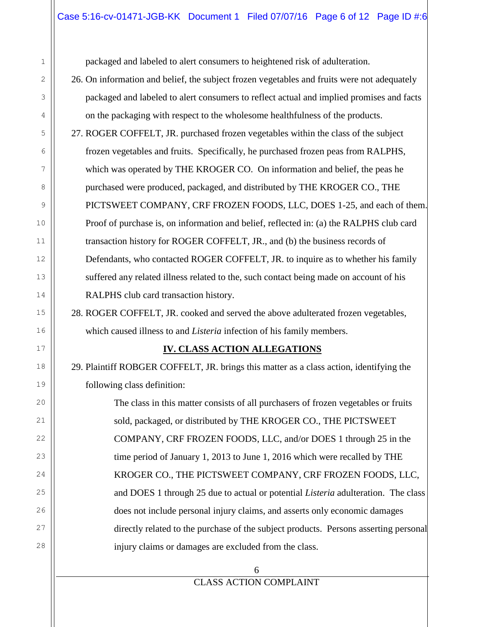### Case 5:16-cv-01471-JGB-KK Document 1 Filed 07/07/16 Page 6 of 12 Page ID #:6

packaged and labeled to alert consumers to heightened risk of adulteration.

- 26. On information and belief, the subject frozen vegetables and fruits were not adequately packaged and labeled to alert consumers to reflect actual and implied promises and facts on the packaging with respect to the wholesome healthfulness of the products.
- 27. ROGER COFFELT, JR. purchased frozen vegetables within the class of the subject frozen vegetables and fruits. Specifically, he purchased frozen peas from RALPHS, which was operated by THE KROGER CO. On information and belief, the peas he purchased were produced, packaged, and distributed by THE KROGER CO., THE PICTSWEET COMPANY, CRF FROZEN FOODS, LLC, DOES 1-25, and each of them. Proof of purchase is, on information and belief, reflected in: (a) the RALPHS club card transaction history for ROGER COFFELT, JR., and (b) the business records of Defendants, who contacted ROGER COFFELT, JR. to inquire as to whether his family suffered any related illness related to the, such contact being made on account of his RALPHS club card transaction history.

28. ROGER COFFELT, JR. cooked and served the above adulterated frozen vegetables, which caused illness to and *Listeria* infection of his family members.

### **IV. CLASS ACTION ALLEGATIONS**

29. Plaintiff ROBGER COFFELT, JR. brings this matter as a class action, identifying the following class definition:

The class in this matter consists of all purchasers of frozen vegetables or fruits sold, packaged, or distributed by THE KROGER CO., THE PICTSWEET COMPANY, CRF FROZEN FOODS, LLC, and/or DOES 1 through 25 in the time period of January 1, 2013 to June 1, 2016 which were recalled by THE KROGER CO., THE PICTSWEET COMPANY, CRF FROZEN FOODS, LLC, and DOES 1 through 25 due to actual or potential *Listeria* adulteration. The class does not include personal injury claims, and asserts only economic damages directly related to the purchase of the subject products. Persons asserting personal injury claims or damages are excluded from the class.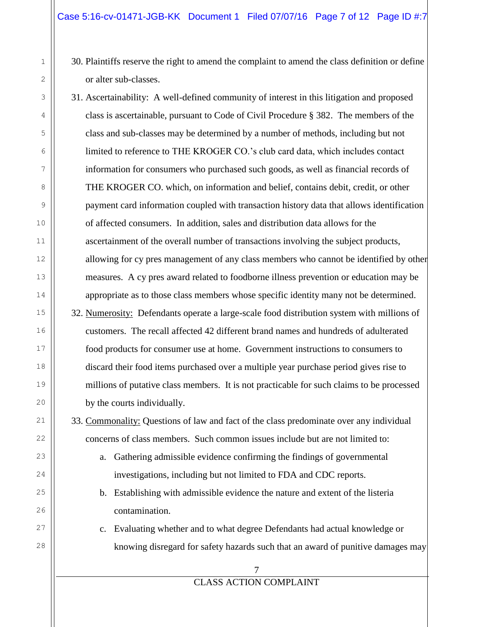- 30. Plaintiffs reserve the right to amend the complaint to amend the class definition or define or alter sub-classes.
- 31. Ascertainability: A well-defined community of interest in this litigation and proposed class is ascertainable, pursuant to Code of Civil Procedure § 382. The members of the class and sub-classes may be determined by a number of methods, including but not limited to reference to THE KROGER CO.'s club card data, which includes contact information for consumers who purchased such goods, as well as financial records of THE KROGER CO. which, on information and belief, contains debit, credit, or other payment card information coupled with transaction history data that allows identification of affected consumers. In addition, sales and distribution data allows for the ascertainment of the overall number of transactions involving the subject products, allowing for cy pres management of any class members who cannot be identified by other measures. A cy pres award related to foodborne illness prevention or education may be appropriate as to those class members whose specific identity many not be determined.
- 32. Numerosity: Defendants operate a large-scale food distribution system with millions of customers. The recall affected 42 different brand names and hundreds of adulterated food products for consumer use at home. Government instructions to consumers to discard their food items purchased over a multiple year purchase period gives rise to millions of putative class members. It is not practicable for such claims to be processed by the courts individually.

33. Commonality: Questions of law and fact of the class predominate over any individual concerns of class members. Such common issues include but are not limited to:

- a. Gathering admissible evidence confirming the findings of governmental investigations, including but not limited to FDA and CDC reports.
- b. Establishing with admissible evidence the nature and extent of the listeria contamination.
- c. Evaluating whether and to what degree Defendants had actual knowledge or knowing disregard for safety hazards such that an award of punitive damages may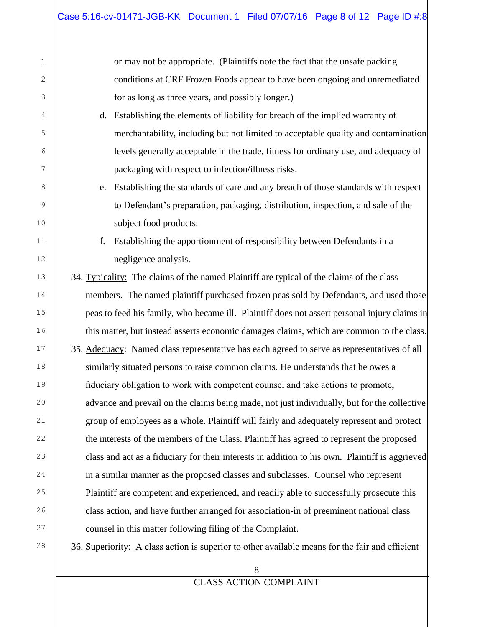1

2

3

4

5

6

7

8

9

10

11

12

13

14

15

16

17

18

19

20

21

22

23

24

25

26

27

28

or may not be appropriate. (Plaintiffs note the fact that the unsafe packing conditions at CRF Frozen Foods appear to have been ongoing and unremediated for as long as three years, and possibly longer.)

- d. Establishing the elements of liability for breach of the implied warranty of merchantability, including but not limited to acceptable quality and contamination levels generally acceptable in the trade, fitness for ordinary use, and adequacy of packaging with respect to infection/illness risks.
- e. Establishing the standards of care and any breach of those standards with respect to Defendant's preparation, packaging, distribution, inspection, and sale of the subject food products.
- f. Establishing the apportionment of responsibility between Defendants in a negligence analysis.
- 34. Typicality: The claims of the named Plaintiff are typical of the claims of the class members. The named plaintiff purchased frozen peas sold by Defendants, and used those peas to feed his family, who became ill. Plaintiff does not assert personal injury claims in this matter, but instead asserts economic damages claims, which are common to the class. 35. Adequacy: Named class representative has each agreed to serve as representatives of all similarly situated persons to raise common claims. He understands that he owes a fiduciary obligation to work with competent counsel and take actions to promote, advance and prevail on the claims being made, not just individually, but for the collective group of employees as a whole. Plaintiff will fairly and adequately represent and protect the interests of the members of the Class. Plaintiff has agreed to represent the proposed class and act as a fiduciary for their interests in addition to his own. Plaintiff is aggrieved in a similar manner as the proposed classes and subclasses. Counsel who represent Plaintiff are competent and experienced, and readily able to successfully prosecute this class action, and have further arranged for association-in of preeminent national class counsel in this matter following filing of the Complaint.

36. Superiority: A class action is superior to other available means for the fair and efficient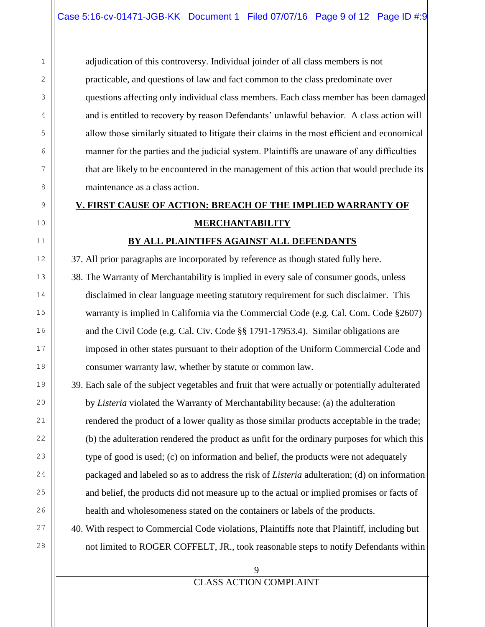adjudication of this controversy. Individual joinder of all class members is not practicable, and questions of law and fact common to the class predominate over questions affecting only individual class members. Each class member has been damaged and is entitled to recovery by reason Defendants' unlawful behavior. A class action will allow those similarly situated to litigate their claims in the most efficient and economical manner for the parties and the judicial system. Plaintiffs are unaware of any difficulties that are likely to be encountered in the management of this action that would preclude its maintenance as a class action.

# **V. FIRST CAUSE OF ACTION: BREACH OF THE IMPLIED WARRANTY OF MERCHANTABILITY**

### **BY ALL PLAINTIFFS AGAINST ALL DEFENDANTS**

37. All prior paragraphs are incorporated by reference as though stated fully here.

- 38. The Warranty of Merchantability is implied in every sale of consumer goods, unless disclaimed in clear language meeting statutory requirement for such disclaimer. This warranty is implied in California via the Commercial Code (e.g. Cal. Com. Code §2607) and the Civil Code (e.g. Cal. Civ. Code §§ 1791-17953.4). Similar obligations are imposed in other states pursuant to their adoption of the Uniform Commercial Code and consumer warranty law, whether by statute or common law.
- 39. Each sale of the subject vegetables and fruit that were actually or potentially adulterated by *Listeria* violated the Warranty of Merchantability because: (a) the adulteration rendered the product of a lower quality as those similar products acceptable in the trade; (b) the adulteration rendered the product as unfit for the ordinary purposes for which this type of good is used; (c) on information and belief, the products were not adequately packaged and labeled so as to address the risk of *Listeria* adulteration; (d) on information and belief, the products did not measure up to the actual or implied promises or facts of health and wholesomeness stated on the containers or labels of the products.
- 40. With respect to Commercial Code violations, Plaintiffs note that Plaintiff, including but not limited to ROGER COFFELT, JR., took reasonable steps to notify Defendants within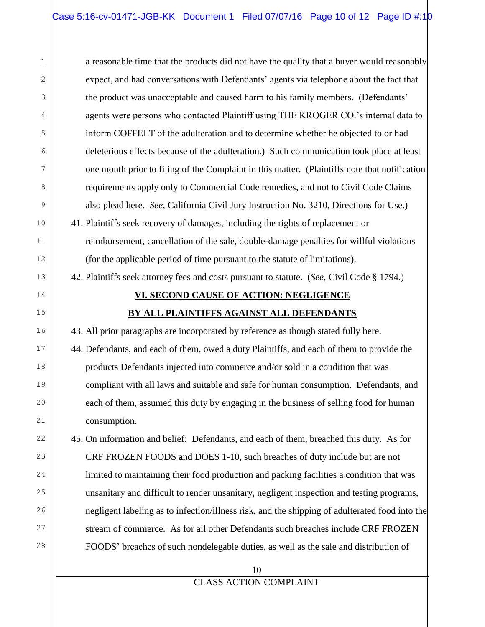a reasonable time that the products did not have the quality that a buyer would reasonably expect, and had conversations with Defendants' agents via telephone about the fact that the product was unacceptable and caused harm to his family members. (Defendants' agents were persons who contacted Plaintiff using THE KROGER CO.'s internal data to inform COFFELT of the adulteration and to determine whether he objected to or had deleterious effects because of the adulteration.) Such communication took place at least one month prior to filing of the Complaint in this matter. (Plaintiffs note that notification requirements apply only to Commercial Code remedies, and not to Civil Code Claims also plead here. *See*, California Civil Jury Instruction No. 3210, Directions for Use.)

41. Plaintiffs seek recovery of damages, including the rights of replacement or reimbursement, cancellation of the sale, double-damage penalties for willful violations (for the applicable period of time pursuant to the statute of limitations).

42. Plaintiffs seek attorney fees and costs pursuant to statute. (*See,* Civil Code § 1794.)

# **VI. SECOND CAUSE OF ACTION: NEGLIGENCE BY ALL PLAINTIFFS AGAINST ALL DEFENDANTS**

43. All prior paragraphs are incorporated by reference as though stated fully here.

44. Defendants, and each of them, owed a duty Plaintiffs, and each of them to provide the products Defendants injected into commerce and/or sold in a condition that was compliant with all laws and suitable and safe for human consumption. Defendants, and each of them, assumed this duty by engaging in the business of selling food for human consumption.

45. On information and belief: Defendants, and each of them, breached this duty. As for CRF FROZEN FOODS and DOES 1-10, such breaches of duty include but are not limited to maintaining their food production and packing facilities a condition that was unsanitary and difficult to render unsanitary, negligent inspection and testing programs, negligent labeling as to infection/illness risk, and the shipping of adulterated food into the stream of commerce. As for all other Defendants such breaches include CRF FROZEN FOODS' breaches of such nondelegable duties, as well as the sale and distribution of

## CLASS ACTION COMPLAINT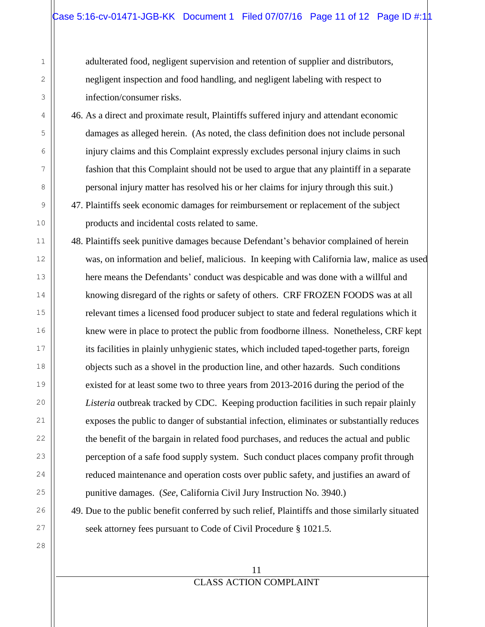adulterated food, negligent supervision and retention of supplier and distributors, negligent inspection and food handling, and negligent labeling with respect to infection/consumer risks.

46. As a direct and proximate result, Plaintiffs suffered injury and attendant economic damages as alleged herein. (As noted, the class definition does not include personal injury claims and this Complaint expressly excludes personal injury claims in such fashion that this Complaint should not be used to argue that any plaintiff in a separate personal injury matter has resolved his or her claims for injury through this suit.)

47. Plaintiffs seek economic damages for reimbursement or replacement of the subject products and incidental costs related to same.

48. Plaintiffs seek punitive damages because Defendant's behavior complained of herein was, on information and belief, malicious. In keeping with California law, malice as used here means the Defendants' conduct was despicable and was done with a willful and knowing disregard of the rights or safety of others. CRF FROZEN FOODS was at all relevant times a licensed food producer subject to state and federal regulations which it knew were in place to protect the public from foodborne illness. Nonetheless, CRF kept its facilities in plainly unhygienic states, which included taped-together parts, foreign objects such as a shovel in the production line, and other hazards. Such conditions existed for at least some two to three years from 2013-2016 during the period of the *Listeria* outbreak tracked by CDC. Keeping production facilities in such repair plainly exposes the public to danger of substantial infection, eliminates or substantially reduces the benefit of the bargain in related food purchases, and reduces the actual and public perception of a safe food supply system. Such conduct places company profit through reduced maintenance and operation costs over public safety, and justifies an award of punitive damages. (*See*, California Civil Jury Instruction No. 3940.)

49. Due to the public benefit conferred by such relief, Plaintiffs and those similarly situated seek attorney fees pursuant to Code of Civil Procedure § 1021.5.